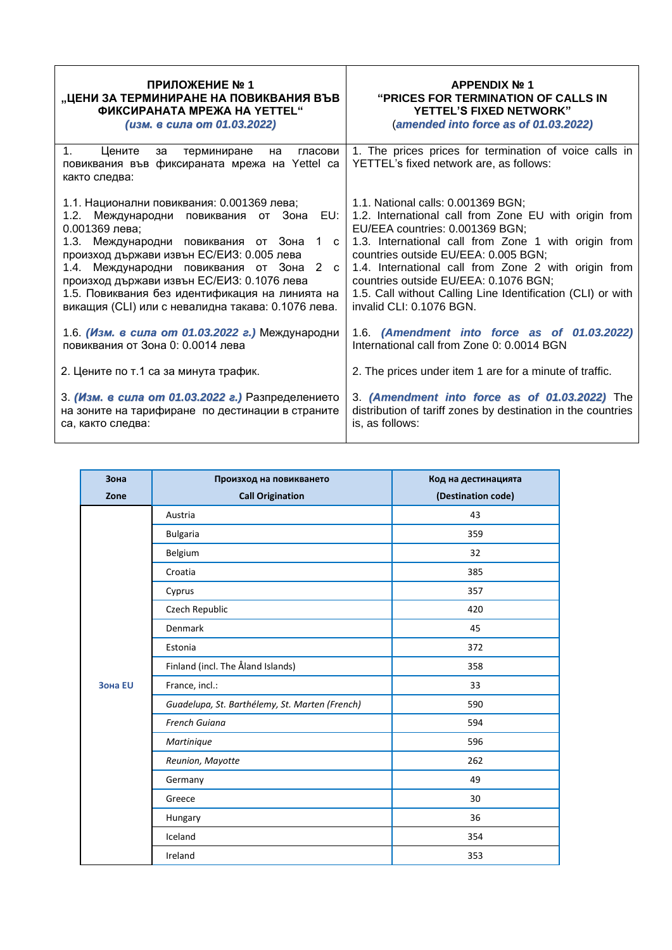| ПРИЛОЖЕНИЕ № 1                                                                                                                                                                                                                                                                                                                                                                                                | <b>APPENDIX Nº 1</b>                                                                                                                                                                                                                                                                                                                                                                                                       |
|---------------------------------------------------------------------------------------------------------------------------------------------------------------------------------------------------------------------------------------------------------------------------------------------------------------------------------------------------------------------------------------------------------------|----------------------------------------------------------------------------------------------------------------------------------------------------------------------------------------------------------------------------------------------------------------------------------------------------------------------------------------------------------------------------------------------------------------------------|
| "ЦЕНИ ЗА ТЕРМИНИРАНЕ НА ПОВИКВАНИЯ ВЪВ                                                                                                                                                                                                                                                                                                                                                                        | <b>"PRICES FOR TERMINATION OF CALLS IN</b>                                                                                                                                                                                                                                                                                                                                                                                 |
| <b>ФИКСИРАНАТА МРЕЖА НА YETTEL"</b>                                                                                                                                                                                                                                                                                                                                                                           | <b>YETTEL'S FIXED NETWORK"</b>                                                                                                                                                                                                                                                                                                                                                                                             |
| (изм. в сила от 01.03.2022)                                                                                                                                                                                                                                                                                                                                                                                   | (amended into force as of 01.03.2022)                                                                                                                                                                                                                                                                                                                                                                                      |
| $1_{-}$<br>Цените<br>терминиране<br>гласови<br>за<br>на<br>повиквания във фиксираната мрежа на Yettel са<br>както следва:                                                                                                                                                                                                                                                                                     | 1. The prices prices for termination of voice calls in<br>YETTEL's fixed network are, as follows:                                                                                                                                                                                                                                                                                                                          |
| 1.1. Национални повиквания: 0.001369 лева;<br>Международни повиквания от Зона<br>EU:<br>1.2.<br>0.001369 лева;<br>1.3. Международни повиквания от Зона<br>1 с<br>произход държави извън ЕС/ЕИЗ: 0.005 лева<br>1.4. Международни повиквания от Зона 2 с<br>произход държави извън ЕС/ЕИЗ: 0.1076 лева<br>1.5. Повиквания без идентификация на линията на<br>викащия (CLI) или с невалидна такава: 0.1076 лева. | 1.1. National calls: 0.001369 BGN;<br>1.2. International call from Zone EU with origin from<br>EU/EEA countries: 0.001369 BGN;<br>1.3. International call from Zone 1 with origin from<br>countries outside EU/EEA: 0.005 BGN;<br>1.4. International call from Zone 2 with origin from<br>countries outside EU/EEA: 0.1076 BGN;<br>1.5. Call without Calling Line Identification (CLI) or with<br>invalid CLI: 0.1076 BGN. |
| 1.6. (Изм. в сила от 01.03.2022 г.) Международни                                                                                                                                                                                                                                                                                                                                                              | 1.6. (Amendment into force as of 01.03.2022)                                                                                                                                                                                                                                                                                                                                                                               |
| повиквания от Зона 0: 0.0014 лева                                                                                                                                                                                                                                                                                                                                                                             | International call from Zone 0: 0.0014 BGN                                                                                                                                                                                                                                                                                                                                                                                 |
| 2. Цените по т.1 са за минута трафик.                                                                                                                                                                                                                                                                                                                                                                         | 2. The prices under item 1 are for a minute of traffic.                                                                                                                                                                                                                                                                                                                                                                    |
| 3. (Изм. в сила от 01.03.2022 г.) Разпределението                                                                                                                                                                                                                                                                                                                                                             | 3. (Amendment into force as of 01.03.2022) The                                                                                                                                                                                                                                                                                                                                                                             |
| на зоните на тарифиране по дестинации в страните                                                                                                                                                                                                                                                                                                                                                              | distribution of tariff zones by destination in the countries                                                                                                                                                                                                                                                                                                                                                               |
| са, както следва:                                                                                                                                                                                                                                                                                                                                                                                             | is, as follows:                                                                                                                                                                                                                                                                                                                                                                                                            |

| Зона    | Произход на повикването                        | Код на дестинацията |
|---------|------------------------------------------------|---------------------|
| Zone    | <b>Call Origination</b>                        | (Destination code)  |
|         | Austria                                        | 43                  |
|         | <b>Bulgaria</b>                                | 359                 |
|         | Belgium                                        | 32                  |
|         | Croatia                                        | 385                 |
|         | Cyprus                                         | 357                 |
|         | Czech Republic                                 | 420                 |
|         | Denmark                                        | 45                  |
|         | Estonia                                        | 372                 |
|         | Finland (incl. The Åland Islands)              | 358                 |
| Зона EU | France, incl.:                                 | 33                  |
|         | Guadelupa, St. Barthélemy, St. Marten (French) | 590                 |
|         | French Guiana                                  | 594                 |
|         | Martinique                                     | 596                 |
|         | Reunion, Mayotte                               | 262                 |
|         | Germany                                        | 49                  |
|         | Greece                                         | 30                  |
|         | Hungary                                        | 36                  |
|         | Iceland                                        | 354                 |
|         | Ireland                                        | 353                 |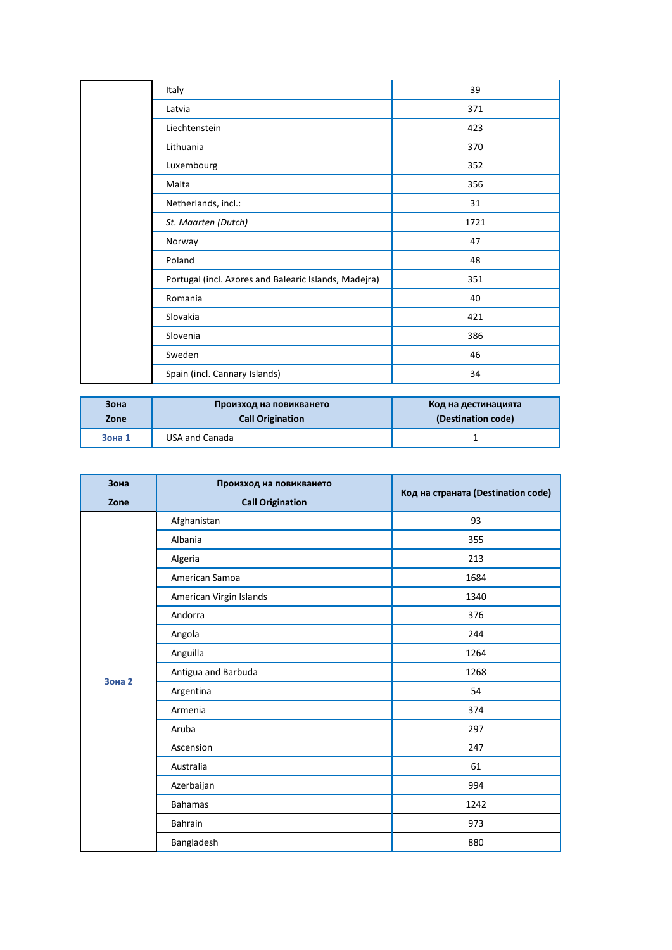| Italy                                                 | 39   |
|-------------------------------------------------------|------|
| Latvia                                                | 371  |
| Liechtenstein                                         | 423  |
| Lithuania                                             | 370  |
| Luxembourg                                            | 352  |
| Malta                                                 | 356  |
| Netherlands, incl.:                                   | 31   |
| St. Maarten (Dutch)                                   | 1721 |
| Norway                                                | 47   |
| Poland                                                | 48   |
| Portugal (incl. Azores and Balearic Islands, Madejra) | 351  |
| Romania                                               | 40   |
| Slovakia                                              | 421  |
| Slovenia                                              | 386  |
| Sweden                                                | 46   |
| Spain (incl. Cannary Islands)                         | 34   |

| Зона   | Произход на повикването | Код на дестинацията |
|--------|-------------------------|---------------------|
| Zone   | <b>Call Origination</b> | (Destination code)  |
| Зона 1 | USA and Canada          |                     |

| Зона          | Произход на повикването |                                    |
|---------------|-------------------------|------------------------------------|
| Zone          | <b>Call Origination</b> | Код на страната (Destination code) |
|               | Afghanistan             | 93                                 |
|               | Albania                 | 355                                |
|               | Algeria                 | 213                                |
|               | American Samoa          | 1684                               |
|               | American Virgin Islands | 1340                               |
|               | Andorra                 | 376                                |
|               | Angola                  | 244                                |
|               | Anguilla                | 1264                               |
| <b>Зона 2</b> | Antigua and Barbuda     | 1268                               |
|               | Argentina               | 54                                 |
|               | Armenia                 | 374                                |
|               | Aruba                   | 297                                |
|               | Ascension               | 247                                |
|               | Australia               | 61                                 |
|               | Azerbaijan              | 994                                |
|               | <b>Bahamas</b>          | 1242                               |
|               | Bahrain                 | 973                                |
|               | Bangladesh              | 880                                |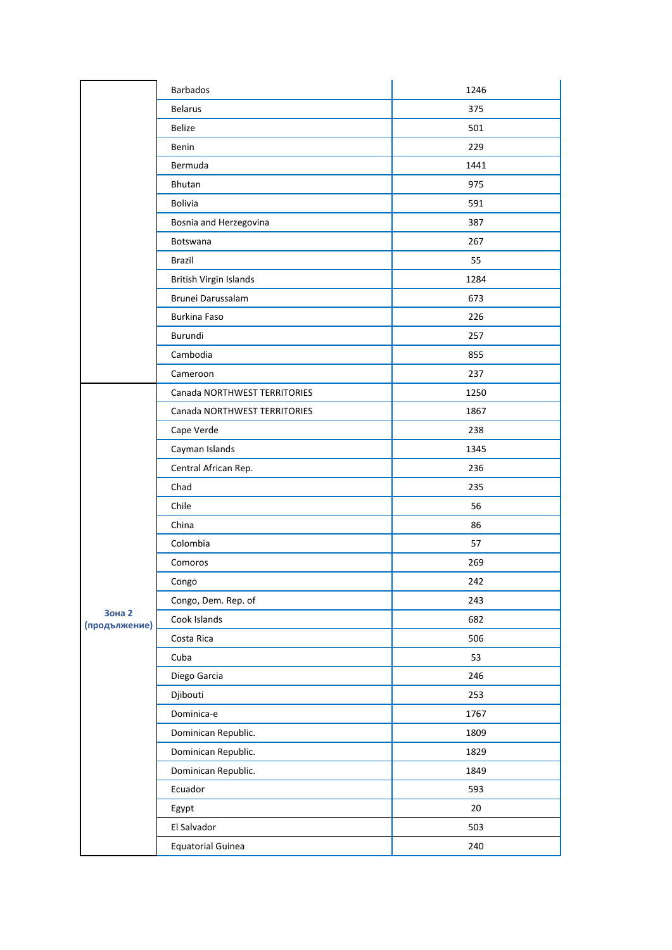|                                | Barbados                     | 1246 |
|--------------------------------|------------------------------|------|
|                                | <b>Belarus</b>               | 375  |
|                                | <b>Belize</b>                | 501  |
|                                | Benin                        | 229  |
|                                | Bermuda                      | 1441 |
|                                | Bhutan                       | 975  |
|                                | Bolivia                      | 591  |
|                                | Bosnia and Herzegovina       | 387  |
|                                | Botswana                     | 267  |
|                                | <b>Brazil</b>                | 55   |
|                                | British Virgin Islands       | 1284 |
|                                | Brunei Darussalam            | 673  |
|                                | Burkina Faso                 | 226  |
|                                | Burundi                      | 257  |
|                                | Cambodia                     | 855  |
|                                | Cameroon                     | 237  |
|                                | Canada NORTHWEST TERRITORIES | 1250 |
|                                | Canada NORTHWEST TERRITORIES | 1867 |
|                                | Cape Verde                   | 238  |
|                                | Cayman Islands               | 1345 |
|                                | Central African Rep.         | 236  |
|                                | Chad                         | 235  |
|                                | Chile                        | 56   |
|                                | China                        | 86   |
|                                | Colombia                     | 57   |
|                                | Comoros                      | 269  |
|                                | Congo                        | 242  |
|                                | Congo, Dem. Rep. of          | 243  |
| <b>Зона 2</b><br>(продължение) | Cook Islands                 | 682  |
|                                | Costa Rica                   | 506  |
|                                | Cuba                         | 53   |
|                                | Diego Garcia                 | 246  |
|                                | Djibouti                     | 253  |
|                                | Dominica-e                   | 1767 |
|                                | Dominican Republic.          | 1809 |
|                                | Dominican Republic.          | 1829 |
|                                | Dominican Republic.          | 1849 |
|                                | Ecuador                      | 593  |
|                                | Egypt                        | 20   |
|                                | El Salvador                  | 503  |
|                                | <b>Equatorial Guinea</b>     | 240  |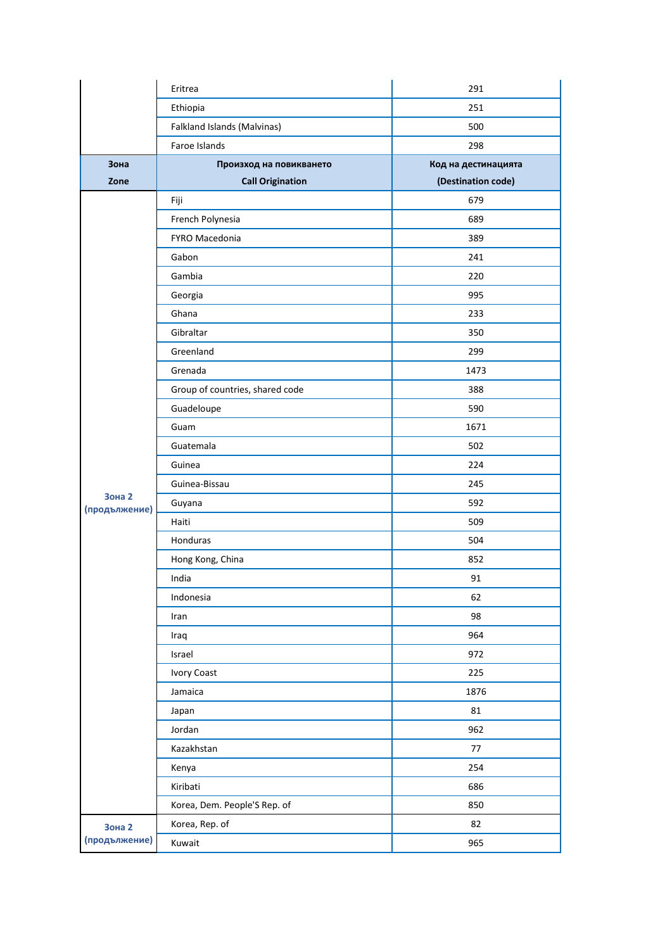|                         | Eritrea                         | 291                 |
|-------------------------|---------------------------------|---------------------|
|                         | Ethiopia                        | 251                 |
|                         | Falkland Islands (Malvinas)     | 500                 |
|                         | Faroe Islands                   | 298                 |
| Зона                    | Произход на повикването         | Код на дестинацията |
| Zone                    | <b>Call Origination</b>         | (Destination code)  |
|                         | Fiji                            | 679                 |
|                         | French Polynesia                | 689                 |
|                         | FYRO Macedonia                  | 389                 |
|                         | Gabon                           | 241                 |
|                         | Gambia                          | 220                 |
|                         | Georgia                         | 995                 |
|                         | Ghana                           | 233                 |
|                         | Gibraltar                       | 350                 |
|                         | Greenland                       | 299                 |
|                         | Grenada                         | 1473                |
|                         | Group of countries, shared code | 388                 |
|                         | Guadeloupe                      | 590                 |
|                         | Guam                            | 1671                |
|                         | Guatemala                       | 502                 |
|                         | Guinea                          | 224                 |
|                         | Guinea-Bissau                   | 245                 |
| Зона 2<br>(продължение) | Guyana                          | 592                 |
|                         | Haiti                           | 509                 |
|                         | Honduras                        | 504                 |
|                         | Hong Kong, China                | 852                 |
|                         | India                           | 91                  |
|                         | Indonesia                       | 62                  |
|                         | Iran                            | 98                  |
|                         | Iraq                            | 964                 |
|                         | Israel                          | 972                 |
|                         | <b>Ivory Coast</b>              | 225                 |
|                         | Jamaica                         | 1876                |
|                         | Japan                           | 81                  |
|                         | Jordan                          | 962                 |
|                         | Kazakhstan                      | $77 \,$             |
|                         | Kenya                           | 254                 |
|                         | Kiribati                        | 686                 |
|                         | Korea, Dem. People'S Rep. of    | 850                 |
| Зона 2                  | Korea, Rep. of                  | 82                  |
| (продължение)           | Kuwait                          | 965                 |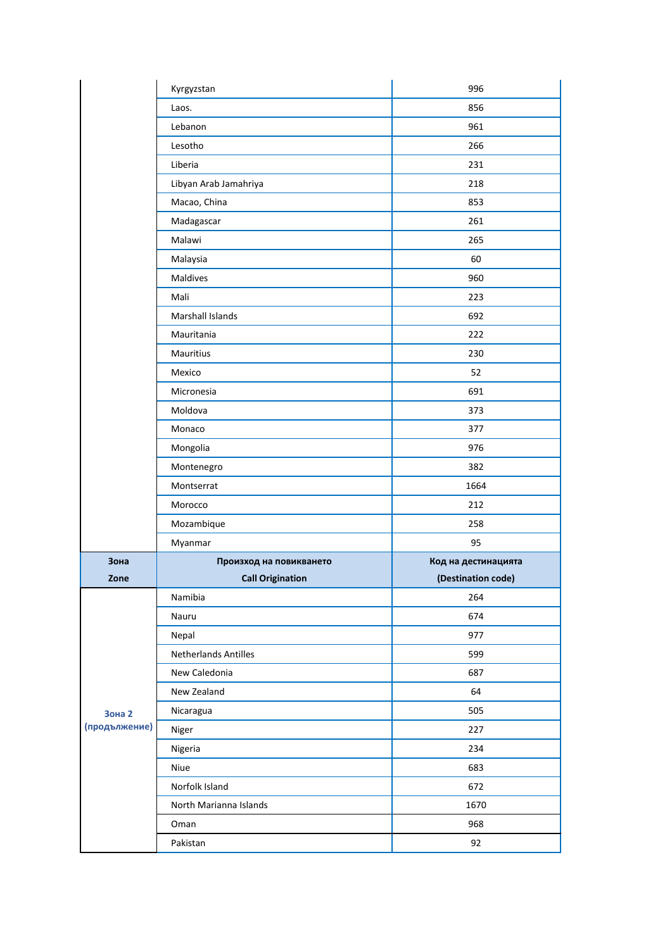|                         | Kyrgyzstan              | 996                 |
|-------------------------|-------------------------|---------------------|
|                         | Laos.                   | 856                 |
|                         | Lebanon                 | 961                 |
|                         | Lesotho                 | 266                 |
|                         | Liberia                 | 231                 |
|                         | Libyan Arab Jamahriya   | 218                 |
|                         | Macao, China            | 853                 |
|                         | Madagascar              | 261                 |
|                         | Malawi                  | 265                 |
|                         | Malaysia                | 60                  |
|                         | Maldives                | 960                 |
|                         | Mali                    | 223                 |
|                         | Marshall Islands        | 692                 |
|                         | Mauritania              | 222                 |
|                         | Mauritius               | 230                 |
|                         | Mexico                  | 52                  |
|                         | Micronesia              | 691                 |
|                         | Moldova                 | 373                 |
|                         | Monaco                  | 377                 |
|                         | Mongolia                | 976                 |
|                         | Montenegro              | 382                 |
|                         | Montserrat              | 1664                |
|                         | Morocco                 | 212                 |
|                         | Mozambique              | 258                 |
|                         | Myanmar                 | 95                  |
| Зона                    | Произход на повикването | Код на дестинацията |
| Zone                    | <b>Call Origination</b> | (Destination code)  |
|                         | Namibia                 | 264                 |
|                         | Nauru                   | 674                 |
|                         | Nepal                   | 977                 |
|                         | Netherlands Antilles    | 599                 |
|                         | New Caledonia           | 687                 |
| Зона 2<br>(продължение) | New Zealand             | 64                  |
|                         | Nicaragua               | 505                 |
|                         | Niger                   | 227                 |
|                         | Nigeria                 | 234                 |
|                         | Niue                    | 683                 |
|                         | Norfolk Island          | 672                 |
|                         | North Marianna Islands  | 1670                |
|                         |                         |                     |
|                         | Oman                    | 968                 |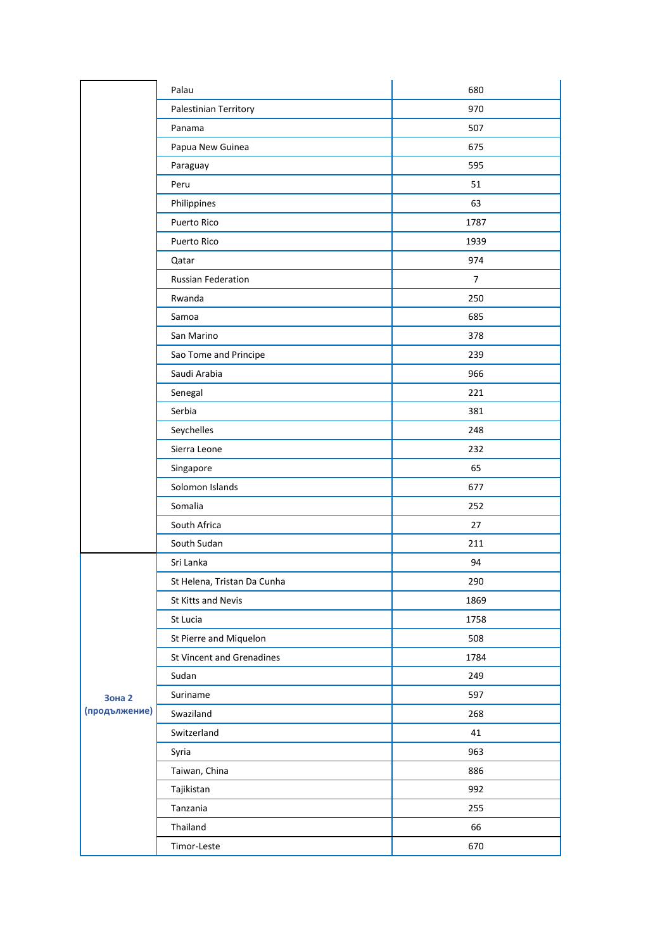|                         | Palau                       | 680            |
|-------------------------|-----------------------------|----------------|
|                         | Palestinian Territory       | 970            |
|                         | Panama                      | 507            |
|                         | Papua New Guinea            | 675            |
|                         | Paraguay                    | 595            |
|                         | Peru                        | 51             |
|                         | Philippines                 | 63             |
|                         | Puerto Rico                 | 1787           |
|                         | Puerto Rico                 | 1939           |
|                         | Qatar                       | 974            |
|                         | <b>Russian Federation</b>   | $\overline{7}$ |
|                         | Rwanda                      | 250            |
|                         | Samoa                       | 685            |
|                         | San Marino                  | 378            |
|                         | Sao Tome and Principe       | 239            |
|                         | Saudi Arabia                | 966            |
|                         | Senegal                     | 221            |
|                         | Serbia                      | 381            |
|                         | Seychelles                  | 248            |
|                         | Sierra Leone                | 232            |
|                         | Singapore                   | 65             |
|                         | Solomon Islands             | 677            |
|                         | Somalia                     | 252            |
|                         | South Africa                | 27             |
|                         | South Sudan                 | 211            |
|                         | Sri Lanka                   | 94             |
|                         | St Helena, Tristan Da Cunha | 290            |
|                         | St Kitts and Nevis          | 1869           |
|                         | St Lucia                    | 1758           |
|                         | St Pierre and Miquelon      | 508            |
|                         | St Vincent and Grenadines   | 1784           |
|                         | Sudan                       | 249            |
| Зона 2<br>(продължение) | Suriname                    | 597            |
|                         | Swaziland                   | 268            |
|                         | Switzerland                 | 41             |
|                         | Syria                       | 963            |
|                         | Taiwan, China               | 886            |
|                         | Tajikistan                  | 992            |
|                         | Tanzania                    | 255            |
|                         | Thailand                    | 66             |
|                         | Timor-Leste                 | 670            |